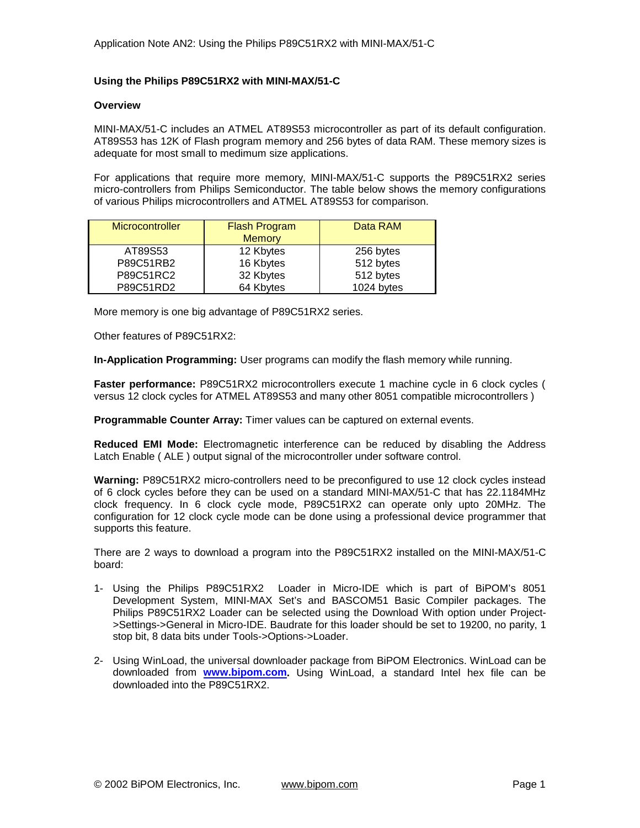## **Using the Philips P89C51RX2 with MINI-MAX/51-C**

## **Overview**

MINI-MAX/51-C includes an ATMEL AT89S53 microcontroller as part of its default configuration. AT89S53 has 12K of Flash program memory and 256 bytes of data RAM. These memory sizes is adequate for most small to medimum size applications.

For applications that require more memory, MINI-MAX/51-C supports the P89C51RX2 series micro-controllers from Philips Semiconductor. The table below shows the memory configurations of various Philips microcontrollers and ATMEL AT89S53 for comparison.

| Microcontroller | <b>Flash Program</b><br><b>Memory</b> | Data RAM   |
|-----------------|---------------------------------------|------------|
| AT89S53         | 12 Kbytes                             | 256 bytes  |
| P89C51RB2       | 16 Kbytes                             | 512 bytes  |
| P89C51RC2       | 32 Kbytes                             | 512 bytes  |
| P89C51RD2       | 64 Kbytes                             | 1024 bytes |

More memory is one big advantage of P89C51RX2 series.

Other features of P89C51RX2:

**In-Application Programming:** User programs can modify the flash memory while running.

**Faster performance:** P89C51RX2 microcontrollers execute 1 machine cycle in 6 clock cycles ( versus 12 clock cycles for ATMEL AT89S53 and many other 8051 compatible microcontrollers )

**Programmable Counter Array:** Timer values can be captured on external events.

**Reduced EMI Mode:** Electromagnetic interference can be reduced by disabling the Address Latch Enable ( ALE ) output signal of the microcontroller under software control.

**Warning:** P89C51RX2 micro-controllers need to be preconfigured to use 12 clock cycles instead of 6 clock cycles before they can be used on a standard MINI-MAX/51-C that has 22.1184MHz clock frequency. In 6 clock cycle mode, P89C51RX2 can operate only upto 20MHz. The configuration for 12 clock cycle mode can be done using a professional device programmer that supports this feature.

There are 2 ways to download a program into the P89C51RX2 installed on the MINI-MAX/51-C board:

- 1- Using the Philips P89C51RX2 Loader in Micro-IDE which is part of BiPOM's 8051 Development System, MINI-MAX Set's and BASCOM51 Basic Compiler packages. The Philips P89C51RX2 Loader can be selected using the Download With option under Project- >Settings->General in Micro-IDE. Baudrate for this loader should be set to 19200, no parity, 1 stop bit, 8 data bits under Tools->Options->Loader.
- 2- Using WinLoad, the universal downloader package from BiPOM Electronics. WinLoad can be downloaded from **[www.bipom.com](http://www.bipom.com).** Using WinLoad, a standard Intel hex file can be downloaded into the P89C51RX2.